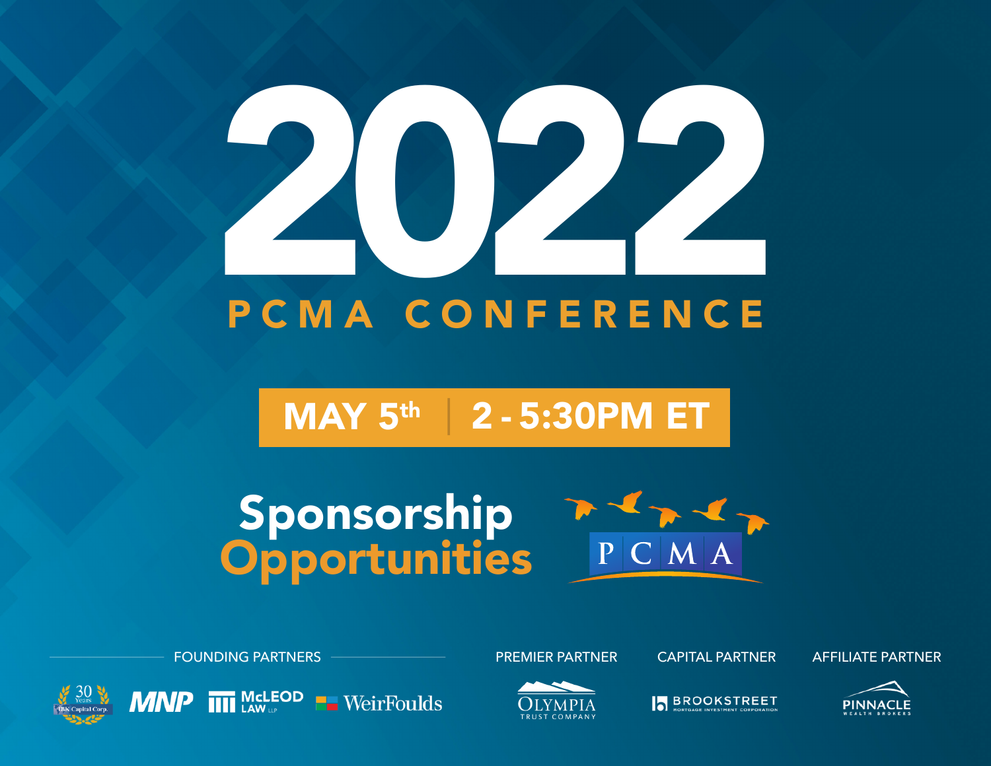# PCMA CONFERENCE

# MAY 5th | 2 - 5:30PM ET

# Sponsorship **Opportunities**







 $MNP$   $\overline{III}$  McLEOD  $\blacksquare$  WeirFoulds





**BROOKSTREET**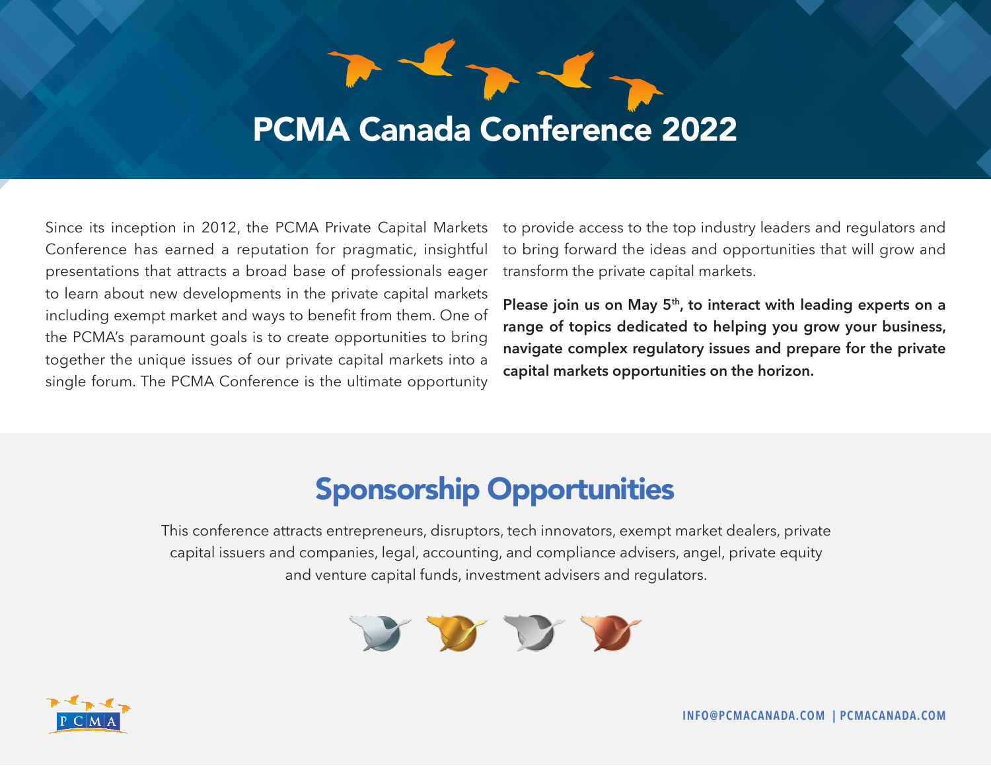## PCMA Canada Conference 2022

 $\overline{\phantom{a}}$ 

Since its inception in 2012, the PCMA Private Capital Markets Conference has earned a reputation for pragmatic, insightful presentations that attracts a broad base of professionals eager to learn about new developments in the private capital markets including exempt market and ways to benefit from them. One of the PCMA's paramount goals is to create opportunities to bring together the unique issues of our private capital markets into a single forum. The PCMA Conference is the ultimate opportunity

to provide access to the top industry leaders and regulators and to bring forward the ideas and opportunities that will grow and transform the private capital markets.

Please join us on May 5<sup>th</sup>, to interact with leading experts on a **range of topics dedicated to helping you grow your business, navigate complex regulatory issues and prepare for the private capital markets opportunities on the horizon.**

## Sponsorship Opportunities

This conference attracts entrepreneurs, disruptors, tech innovators, exempt market dealers, private capital issuers and companies, legal, accounting, and compliance advisers, angel, private equity and venture capital funds, investment advisers and regulators.